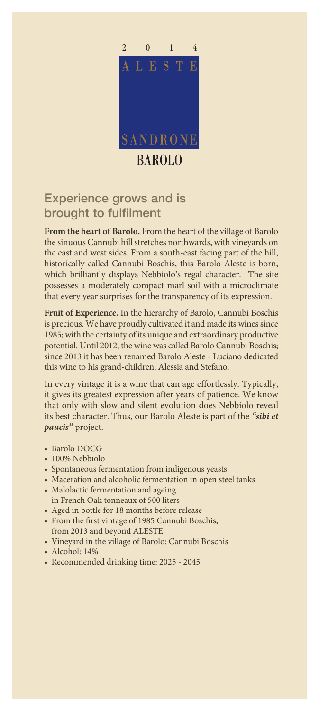

## Experience grows and is brought to fulfilment

**From the heart of Barolo.** From the heart of the village of Barolo the sinuous Cannubi hill stretches northwards, with vineyards on the east and west sides. From a south-east facing part of the hill, historically called Cannubi Boschis, this Barolo Aleste is born, which brilliantly displays Nebbiolo's regal character. The site possesses a moderately compact marl soil with a microclimate that every year surprises for the transparency of its expression.

**Fruit of Experience.** In the hierarchy of Barolo, Cannubi Boschis is precious. We have proudly cultivated it and made its wines since 1985; with the certainty of its unique and extraordinary productive potential. Until 2012, the wine was called Barolo Cannubi Boschis; since 2013 it has been renamed Barolo Aleste - Luciano dedicated this wine to his grand-children, Alessia and Stefano.

In every vintage it is a wine that can age effortlessly. Typically, it gives its greatest expression after years of patience. We know that only with slow and silent evolution does Nebbiolo reveal its best character. Thus, our Barolo Aleste is part of the *"sibi et paucis"* project.

- Barolo DOCG
- 100% Nebbiolo
- Spontaneous fermentation from indigenous yeasts
- Maceration and alcoholic fermentation in open steel tanks
- Malolactic fermentation and ageing in French Oak tonneaux of 500 liters
- Aged in bottle for 18 months before release
- From the first vintage of 1985 Cannubi Boschis, from 2013 and beyond ALESTE
- Vineyard in the village of Barolo: Cannubi Boschis
- Alcohol: 14%
- Recommended drinking time: 2025 2045